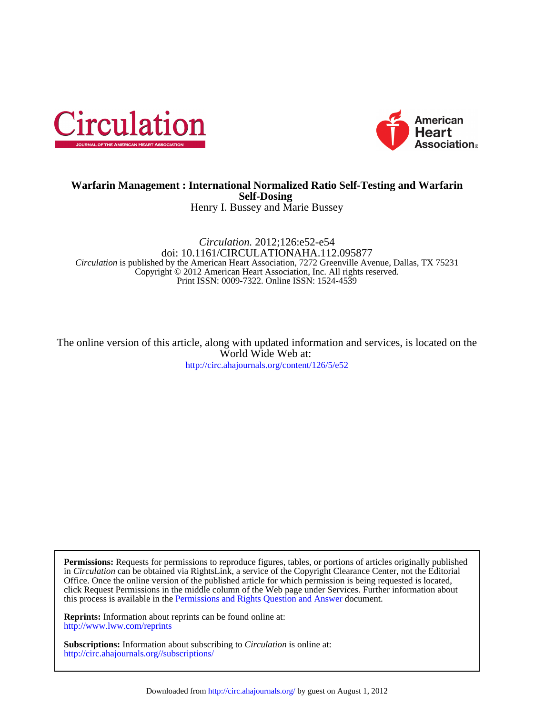



# **Self-Dosing Warfarin Management : International Normalized Ratio Self-Testing and Warfarin**

Henry I. Bussey and Marie Bussey

#### Print ISSN: 0009-7322. Online ISSN: 1524-4539 Copyright © 2012 American Heart Association, Inc. All rights reserved. *Circulation* is published by the American Heart Association, 7272 Greenville Avenue, Dallas, TX 75231 doi: 10.1161/CIRCULATIONAHA.112.095877 *Circulation.* 2012;126:e52-e54

<http://circ.ahajournals.org/content/126/5/e52> World Wide Web at: The online version of this article, along with updated information and services, is located on the

this process is available in the [Permissions and Rights Question and Answer d](http://www.ahajournals.org/site/rights/)ocument. click Request Permissions in the middle column of the Web page under Services. Further information about Office. Once the online version of the published article for which permission is being requested is located, in *Circulation* can be obtained via RightsLink, a service of the Copyright Clearance Center, not the Editorial **Permissions:** Requests for permissions to reproduce figures, tables, or portions of articles originally published

<http://www.lww.com/reprints> **Reprints:** Information about reprints can be found online at:

<http://circ.ahajournals.org//subscriptions/> **Subscriptions:** Information about subscribing to *Circulation* is online at: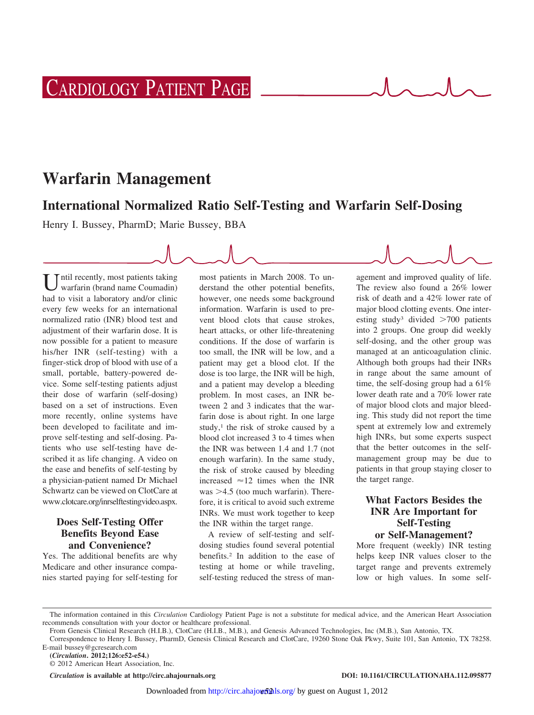# CARDIOLOGY PATIENT PAGE

# **Warfarin Management**

## **International Normalized Ratio Self-Testing and Warfarin Self-Dosing**

Henry I. Bussey, PharmD; Marie Bussey, BBA

T ntil recently, most patients taking warfarin (brand name Coumadin) had to visit a laboratory and/or clinic every few weeks for an international normalized ratio (INR) blood test and adjustment of their warfarin dose. It is now possible for a patient to measure his/her INR (self-testing) with a finger-stick drop of blood with use of a small, portable, battery-powered device. Some self-testing patients adjust their dose of warfarin (self-dosing) based on a set of instructions. Even more recently, online systems have been developed to facilitate and improve self-testing and self-dosing. Patients who use self-testing have described it as life changing. A video on the ease and benefits of self-testing by a physician-patient named Dr Michael Schwartz can be viewed on ClotCare at www.clotcare.org/inrselftestingvideo.aspx.

#### **Does Self-Testing Offer Benefits Beyond Ease and Convenience?**

Yes. The additional benefits are why Medicare and other insurance companies started paying for self-testing for most patients in March 2008. To understand the other potential benefits, however, one needs some background information. Warfarin is used to prevent blood clots that cause strokes, heart attacks, or other life-threatening conditions. If the dose of warfarin is too small, the INR will be low, and a patient may get a blood clot. If the dose is too large, the INR will be high, and a patient may develop a bleeding problem. In most cases, an INR between 2 and 3 indicates that the warfarin dose is about right. In one large study, $<sup>1</sup>$  the risk of stroke caused by a</sup> blood clot increased 3 to 4 times when the INR was between 1.4 and 1.7 (not enough warfarin). In the same study, the risk of stroke caused by bleeding increased  $\approx$  12 times when the INR  $was > 4.5$  (too much warfarin). Therefore, it is critical to avoid such extreme INRs. We must work together to keep the INR within the target range.

A review of self-testing and selfdosing studies found several potential benefits.2 In addition to the ease of testing at home or while traveling, self-testing reduced the stress of management and improved quality of life. The review also found a 26% lower risk of death and a 42% lower rate of major blood clotting events. One interesting study<sup>3</sup> divided  $>700$  patients into 2 groups. One group did weekly self-dosing, and the other group was managed at an anticoagulation clinic. Although both groups had their INRs in range about the same amount of time, the self-dosing group had a 61% lower death rate and a 70% lower rate of major blood clots and major bleeding. This study did not report the time spent at extremely low and extremely high INRs, but some experts suspect that the better outcomes in the selfmanagement group may be due to patients in that group staying closer to the target range.

### **What Factors Besides the INR Are Important for Self-Testing or Self-Management?**

More frequent (weekly) INR testing helps keep INR values closer to the target range and prevents extremely low or high values. In some self-

**(***Circulation***. 2012;126:e52-e54.)**

*Circulation* **is available at http://circ.ahajournals.org DOI: 10.1161/CIRCULATIONAHA.112.095877**

The information contained in this *Circulation* Cardiology Patient Page is not a substitute for medical advice, and the American Heart Association recommends consultation with your doctor or healthcare professional.

From Genesis Clinical Research (H.I.B.), ClotCare (H.I.B., M.B.), and Genesis Advanced Technologies, Inc (M.B.), San Antonio, TX.

Correspondence to Henry I. Bussey, PharmD, Genesis Clinical Research and ClotCare, 19260 Stone Oak Pkwy, Suite 101, San Antonio, TX 78258. E-mail bussey@gcresearch.com

<sup>© 2012</sup> American Heart Association, Inc.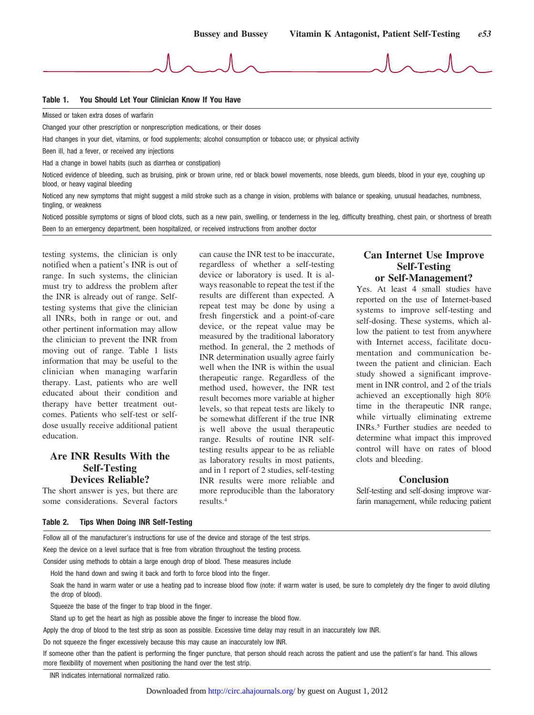

#### **Table 1. You Should Let Your Clinician Know If You Have**

Missed or taken extra doses of warfarin

Changed your other prescription or nonprescription medications, or their doses

Had changes in your diet, vitamins, or food supplements; alcohol consumption or tobacco use; or physical activity

Been ill, had a fever, or received any injections

Had a change in bowel habits (such as diarrhea or constipation)

Noticed evidence of bleeding, such as bruising, pink or brown urine, red or black bowel movements, nose bleeds, gum bleeds, blood in your eye, coughing up blood, or heavy vaginal bleeding

Noticed any new symptoms that might suggest a mild stroke such as a change in vision, problems with balance or speaking, unusual headaches, numbness, tingling, or weakness

Noticed possible symptoms or signs of blood clots, such as a new pain, swelling, or tenderness in the leg, difficulty breathing, chest pain, or shortness of breath Been to an emergency department, been hospitalized, or received instructions from another doctor

testing systems, the clinician is only notified when a patient's INR is out of range. In such systems, the clinician must try to address the problem after the INR is already out of range. Selftesting systems that give the clinician all INRs, both in range or out, and other pertinent information may allow the clinician to prevent the INR from moving out of range. Table 1 lists information that may be useful to the clinician when managing warfarin therapy. Last, patients who are well educated about their condition and therapy have better treatment outcomes. Patients who self-test or selfdose usually receive additional patient education.

#### **Are INR Results With the Self-Testing Devices Reliable?**

The short answer is yes, but there are some considerations. Several factors can cause the INR test to be inaccurate, regardless of whether a self-testing device or laboratory is used. It is always reasonable to repeat the test if the results are different than expected. A repeat test may be done by using a fresh fingerstick and a point-of-care device, or the repeat value may be measured by the traditional laboratory method. In general, the 2 methods of INR determination usually agree fairly well when the INR is within the usual therapeutic range. Regardless of the method used, however, the INR test result becomes more variable at higher levels, so that repeat tests are likely to be somewhat different if the true INR is well above the usual therapeutic range. Results of routine INR selftesting results appear to be as reliable as laboratory results in most patients, and in 1 report of 2 studies, self-testing INR results were more reliable and more reproducible than the laboratory results.4

#### **Can Internet Use Improve Self-Testing or Self-Management?**

Yes. At least 4 small studies have reported on the use of Internet-based systems to improve self-testing and self-dosing. These systems, which allow the patient to test from anywhere with Internet access, facilitate documentation and communication between the patient and clinician. Each study showed a significant improvement in INR control, and 2 of the trials achieved an exceptionally high 80% time in the therapeutic INR range, while virtually eliminating extreme INRs.5 Further studies are needed to determine what impact this improved control will have on rates of blood clots and bleeding.

#### **Conclusion**

Self-testing and self-dosing improve warfarin management, while reducing patient

#### **Table 2. Tips When Doing INR Self-Testing**

Follow all of the manufacturer's instructions for use of the device and storage of the test strips.

Keep the device on a level surface that is free from vibration throughout the testing process.

Consider using methods to obtain a large enough drop of blood. These measures include

Hold the hand down and swing it back and forth to force blood into the finger.

Soak the hand in warm water or use a heating pad to increase blood flow (note: if warm water is used, be sure to completely dry the finger to avoid diluting the drop of blood).

Squeeze the base of the finger to trap blood in the finger.

Stand up to get the heart as high as possible above the finger to increase the blood flow.

Apply the drop of blood to the test strip as soon as possible. Excessive time delay may result in an inaccurately low INR.

Do not squeeze the finger excessively because this may cause an inaccurately low INR.

If someone other than the patient is performing the finger puncture, that person should reach across the patient and use the patient's far hand. This allows more flexibility of movement when positioning the hand over the test strip.

INR indicates international normalized ratio.